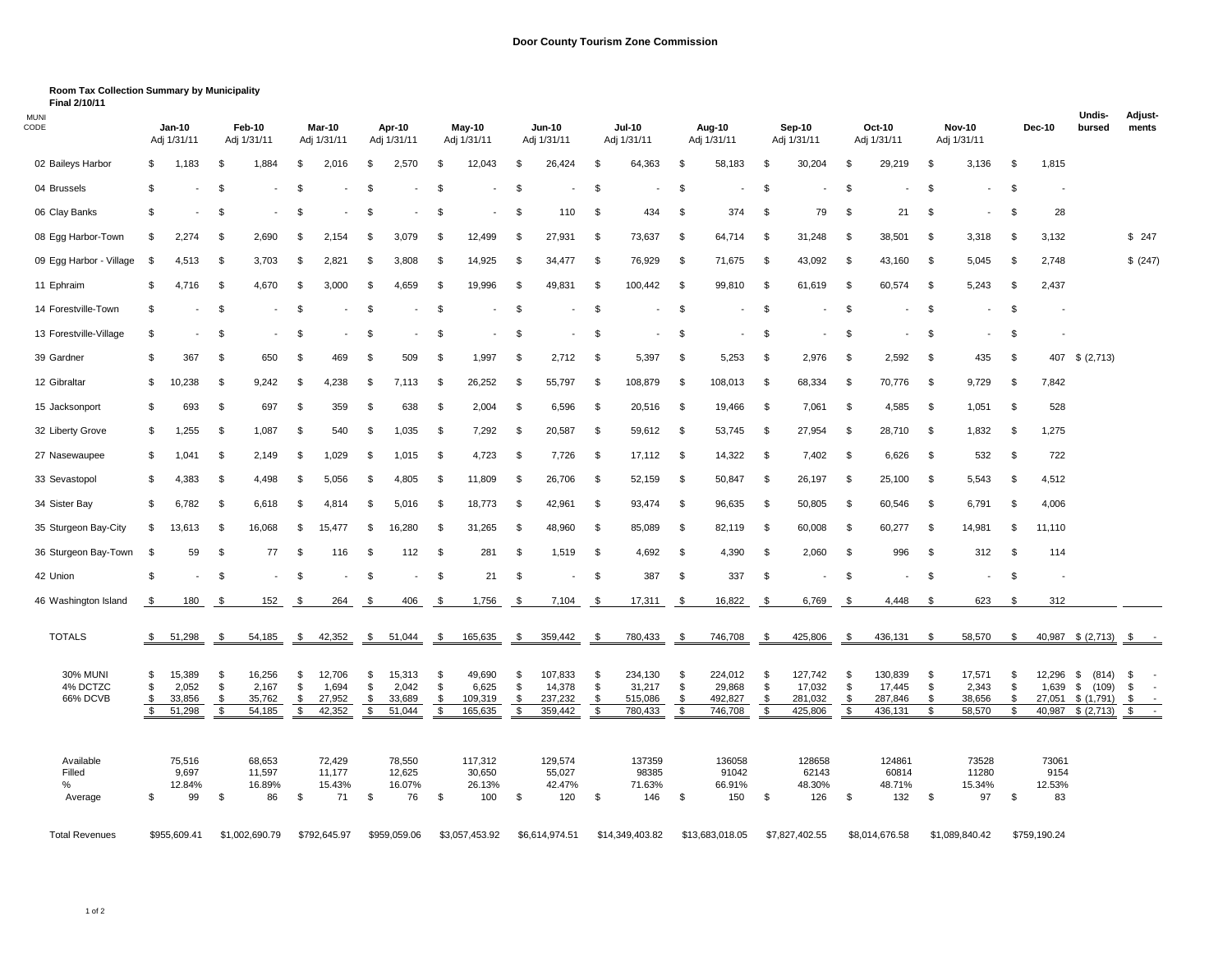**Final 2/10/11 Room Tax Collection Summary by Municipality**

| <b>MUNI</b><br>CODE     |          | Jan-10<br>Adj 1/31/11    |          | Feb-10<br>Adj 1/31/11 |          | <b>Mar-10</b><br>Adj 1/31/11 |          | Apr-10<br>Adj 1/31/11 |          | May-10<br>Adj 1/31/11    |          | <b>Jun-10</b><br>Adj 1/31/11 |          | <b>Jul-10</b><br>Adj 1/31/11 |          | Aug-10<br>Adj 1/31/11 |          | Sep-10<br>Adj 1/31/11    |          | Oct-10<br>Adj 1/31/11 |           | <b>Nov-10</b><br>Adj 1/31/11 |          | <b>Dec-10</b>            | Undis-<br>bursed         |              | <b>Adjust-</b><br>ments |
|-------------------------|----------|--------------------------|----------|-----------------------|----------|------------------------------|----------|-----------------------|----------|--------------------------|----------|------------------------------|----------|------------------------------|----------|-----------------------|----------|--------------------------|----------|-----------------------|-----------|------------------------------|----------|--------------------------|--------------------------|--------------|-------------------------|
| 02 Baileys Harbor       | - \$     | 1,183                    | -S       | 1,884                 | - \$     | 2,016                        | \$       | 2,570                 | - \$     | 12,043                   | \$.      | 26,424                       | - \$     | 64,363                       | \$       | 58,183                | \$       | 30,204                   | £.       | 29,219                | - \$      | 3,136                        | -\$      | 1,815                    |                          |              |                         |
| 04 Brussels             | - \$     |                          | \$       |                       | S        |                              | \$       |                       | -\$      |                          | - \$     |                              | \$       |                              | \$       |                       | \$       |                          | \$       |                       | - \$      |                              | -\$      |                          |                          |              |                         |
| 06 Clay Banks           | - \$     |                          | - \$     |                       | - 35     |                              | \$       |                       | - \$     | $\overline{\phantom{a}}$ | - \$     | 110                          | -\$      | 434                          | -\$      | 374                   | \$       | 79                       | \$       | 21                    | -\$       |                              | -\$      | 28                       |                          |              |                         |
| 08 Egg Harbor-Town      | \$       | 2,274                    | \$       | 2,690                 | \$       | 2,154                        | \$       | 3,079                 | \$       | 12,499                   | \$       | 27,931                       | -\$      | 73,637                       | -\$      | 64,714                | \$       | 31,248                   | \$       | 38,501                | -\$       | 3,318                        | -\$      | 3,132                    |                          |              | \$247                   |
| 09 Egg Harbor - Village | \$       | 4,513                    | \$       | 3,703                 | -\$      | 2,821                        | \$       | 3,808                 | \$       | 14,925                   | \$       | 34,477                       | \$       | 76,929                       | \$       | 71,675                | \$       | 43,092                   | \$       | 43,160                | \$        | 5,045                        | -\$      | 2,748                    |                          |              | \$ (247)                |
| 11 Ephraim              | \$       | 4,716                    | \$       | 4,670                 | \$       | 3,000                        | \$       | 4,659                 | \$       | 19,996                   | \$       | 49,831                       | \$       | 100,442                      | \$       | 99,810                | \$       | 61,619                   | \$       | 60,574                | - \$      | 5,243                        | \$       | 2,437                    |                          |              |                         |
| 14 Forestville-Town     | -\$      |                          | \$       |                       | -\$      |                              | \$       |                       | \$       |                          | \$       |                              | \$       |                              | \$       |                       | \$       |                          | \$       |                       | -\$       |                              | -\$      |                          |                          |              |                         |
| 13 Forestville-Village  | \$       |                          | \$       |                       | \$       |                              | \$       |                       | -\$      |                          | \$       |                              | - \$     |                              | \$       |                       | \$       |                          | -\$      |                       | \$        |                              | -\$      |                          |                          |              |                         |
| 39 Gardner              | -\$      | 367                      | \$       | 650                   | \$       | 469                          | \$       | 509                   | -\$      | 1,997                    | -\$      | 2,712                        | -\$      | 5,397                        | -\$      | 5,253                 | \$       | 2,976                    | \$       | 2,592                 | - \$      | 435                          | -\$      | 407                      | \$ (2,713)               |              |                         |
| 12 Gibraltar            | \$       | 10,238                   | \$       | 9,242                 | \$       | 4,238                        | \$       | 7,113                 | \$       | 26,252                   | \$       | 55,797                       | \$       | 108,879                      | \$       | 108,013               | \$       | 68,334                   | \$       | 70,776                | - \$      | 9,729                        | -\$      | 7,842                    |                          |              |                         |
| 15 Jacksonport          | -\$      | 693                      | \$       | 697                   | -\$      | 359                          | \$       | 638                   | \$       | 2,004                    | \$       | 6,596                        | -\$      | 20,516                       | \$       | 19,466                | \$       | 7,061                    | \$       | 4,585                 | - \$      | 1,051                        | -\$      | 528                      |                          |              |                         |
| 32 Liberty Grove        | \$       | 1,255                    | \$       | 1,087                 | - \$     | 540                          | \$       | 1,035                 | \$       | 7,292                    | -\$      | 20,587                       | \$       | 59,612                       | \$       | 53,745                | \$       | 27,954                   | \$       | 28,710                | - \$      | 1,832                        | \$       | 1,275                    |                          |              |                         |
| 27 Nasewaupee           | -\$      | 1,041                    | \$       | 2,149                 | \$       | 1,029                        | \$       | 1,015                 | - \$     | 4,723                    | - \$     | 7,726                        | \$       | 17,112                       | \$       | 14,322                | - \$     | 7,402                    | \$       | 6,626                 | - \$      | 532                          | -\$      | 722                      |                          |              |                         |
| 33 Sevastopol           | -\$      | 4,383                    | \$       | 4,498                 | \$       | 5,056                        | \$       | 4,805                 | \$       | 11,809                   | \$       | 26,706                       | -\$      | 52,159                       | -\$      | 50,847                | \$       | 26,197                   | -\$      | 25,100                | - \$      | 5,543                        | -\$      | 4,512                    |                          |              |                         |
| 34 Sister Bay           | -\$      | 6,782                    | \$       | 6,618                 | \$       | 4,814                        | \$       | 5,016                 | \$       | 18,773                   | - \$     | 42,961                       | -\$      | 93,474                       | \$       | 96,635                | - \$     | 50,805                   | \$       | 60,546                | - \$      | 6,791                        | -\$      | 4,006                    |                          |              |                         |
| 35 Sturgeon Bay-City    | \$       | 13,613                   | \$       | 16,068                | \$       | 15,477                       | \$       | 16,280                | -\$      | 31,265                   | -\$      | 48,960                       | -\$      | 85,089                       | -\$      | 82,119                | - \$     | 60,008                   | - \$     | 60,277                | - \$      | 14,981                       | \$       | 11,110                   |                          |              |                         |
| 36 Sturgeon Bay-Town    | \$       | 59                       | \$       | 77                    | \$       | 116                          | \$       | 112                   | -\$      | 281                      | \$       | 1,519                        | -\$      | 4,692                        | -\$      | 4,390                 | \$       | 2,060                    | \$       | 996                   | - \$      | 312                          | \$       | 114                      |                          |              |                         |
| 42 Union                | \$       | $\overline{\phantom{a}}$ | \$       |                       | \$       | $\overline{\phantom{a}}$     | \$       |                       | \$       | 21                       | \$       |                              | \$       | 387                          | \$       | 337                   | \$       | $\overline{\phantom{a}}$ | \$       |                       | \$        |                              | \$       | $\overline{\phantom{a}}$ |                          |              |                         |
| 46 Washington Island    | \$       | 180                      | \$       | 152                   | \$       | 264                          | \$       | 406                   | \$       | 1,756                    | \$       | 7,104                        | \$       | 17,311                       | \$       | 16,822                | \$       | 6,769                    | -\$      | 4,448                 | \$        | 623                          | \$       | 312                      |                          |              |                         |
| <b>TOTALS</b>           |          |                          |          |                       |          |                              |          |                       |          |                          |          |                              |          |                              |          |                       | - \$     |                          |          |                       |           | 58,570                       | \$       |                          |                          |              | $\sim$ $-$              |
|                         | \$       | 51,298                   | \$       | 54,185                | \$       | 42,352                       | \$       | 51,044                | \$       | 165,635                  | \$       | 359,442                      | -\$      | 780,433                      | -\$      | 746,708               |          | 425,806                  | -\$      | 436,131               | - \$      |                              |          |                          | 40,987 \$ (2,713)        | $\mathsf{S}$ |                         |
| <b>30% MUNI</b>         | \$       | 15,389                   | \$       | 16,256                | \$       | 12,706                       | \$       | 15,313                | \$       | 49,690                   | \$       | 107,833                      | \$       | 234,130                      | \$       | 224,012               | \$       | 127,742                  | \$       | 130,839               | \$        | 17,571                       | \$       | 12,296                   | \$<br>(814)              | \$           | $\sim$                  |
| 4% DCTZC<br>66% DCVB    | \$<br>\$ | 2,052<br>33,856          | \$<br>\$ | 2,167<br>35,762       | \$<br>\$ | 1,694<br>27,952              | \$<br>\$ | 2,042<br>33,689       | \$<br>\$ | 6,625<br>109,319         | \$<br>\$ | 14,378<br>237,232            | \$<br>\$ | 31,217<br>515,086            | \$<br>\$ | 29,868<br>492,827     | \$<br>\$ | 17,032<br>281,032        | \$<br>\$ | 17,445<br>287,846     | \$<br>\$. | 2,343<br>38,656              | \$<br>\$ | 1,639<br>27,051          | \$<br>(109)<br>\$(1,791) | \$<br>\$     | $\sim$                  |
|                         | \$       | 51,298                   | \$       | 54,185                | \$       | 42,352                       | \$       | 51,044                | \$       | 165,635                  | \$       | 359,442                      | \$       | 780,433                      | \$       | 746,708               | \$       | 425,806                  | \$       | 436,131               | \$        | 58,570                       | \$       | 40,987                   | \$ (2,713)               | \$           | $\sim$                  |
| Available               |          | 75,516                   |          | 68,653                |          | 72,429                       |          | 78,550                |          | 117,312                  |          | 129,574                      |          | 137359                       |          | 136058                |          | 128658                   |          | 124861                |           | 73528                        |          | 73061                    |                          |              |                         |
| Filled                  |          | 9,697                    |          | 11,597                |          | 11,177                       |          | 12,625                |          | 30,650                   |          | 55,027                       |          | 98385                        |          | 91042                 |          | 62143                    |          | 60814                 |           | 11280                        |          | 9154                     |                          |              |                         |
| %<br>Average            | \$       | 12.84%<br>99             | \$       | 16.89%<br>86          | \$       | 15.43%<br>71                 | \$       | 16.07%<br>76          | \$       | 26.13%<br>100            | \$       | 42.47%<br>120                | \$       | 71.63%<br>146                | \$       | 66.91%<br>150         | \$       | 48.30%<br>126            | \$       | 48.71%<br>132         | - \$      | 15.34%<br>97                 | \$       | 12.53%<br>83             |                          |              |                         |
| <b>Total Revenues</b>   |          | \$955,609.41             |          | \$1,002,690.79        |          | \$792,645.97                 |          | \$959,059.06          |          | \$3,057,453.92           |          | \$6,614,974.51               |          | \$14,349,403.82              |          | \$13,683,018.05       |          | \$7,827,402.55           |          | \$8,014,676.58        |           | \$1,089,840.42               |          | \$759,190.24             |                          |              |                         |